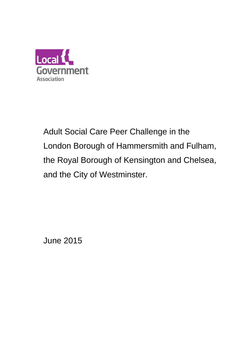

Adult Social Care Peer Challenge in the London Borough of Hammersmith and Fulham, the Royal Borough of Kensington and Chelsea, and the City of Westminster.

June 2015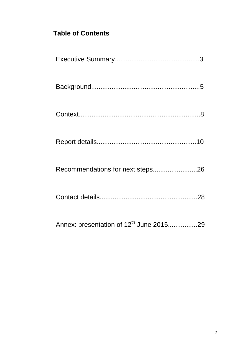# **Table of Contents**

| Recommendations for next steps26                    |
|-----------------------------------------------------|
|                                                     |
| Annex: presentation of 12 <sup>th</sup> June 201529 |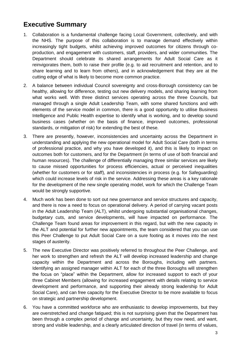# **Executive Summary**

- 1. Collaboration is a fundamental challenge facing Local Government, collectively, and with the NHS. The purpose of this collaboration is to manage demand effectively within increasingly tight budgets, whilst achieving improved outcomes for citizens through coproduction, and engagement with customers, staff, providers, and wider communities. The Department should celebrate its shared arrangements for Adult Social Care as it reinvigorates them, both to raise their profile (e.g. to aid recruitment and retention, and to share learning and to learn from others), and in acknowledgement that they are at the cutting edge of what is likely to become more common practice.
- 2. A balance between individual Council sovereignty and cross-Borough consistency can be healthy, allowing for difference, testing out new delivery models, and sharing learning from what works well. With three distinct services operating across the three Councils, but managed through a single Adult Leadership Team, with some shared functions and with elements of the service model in common, there is a good opportunity to utilise Business Intelligence and Public Health expertise to identify what is working, and to develop sound business cases (whether on the basis of finance, improved outcomes, professional standards, or mitigation of risk) for extending the best of these.
- 3. There are presently, however, inconsistencies and uncertainty across the Department in understanding and applying the new operational model for Adult Social Care (both in terms of professional practice, and why you have developed it), and this is likely to impact on outcomes both for customers, and for the Department (in terms of use of both financial and human resources). The challenge of differentially managing three similar services are likely to cause missed opportunities for process efficiencies, actual or perceived inequalities (whether for customers or for staff), and inconsistencies in process (e.g. for Safeguarding) which could increase levels of risk in the service. Addressing these areas is a key rationale for the development of the new single operating model, work for which the Challenge Team would be strongly supportive.
- 4. Much work has been done to sort out new governance and service structures and capacity, and there is now a need to focus on operational delivery. A period of carrying vacant posts in the Adult Leadership Team (ALT), whilst undergoing substantial organisational changes, budgetary cuts, and service developments, will have impacted on performance. The Challenge Team found areas for improvement in this regard, but with the new capacity in the ALT and potential for further new appointments, the team considered that you can use this Peer Challenge to put Adult Social Care on a sure footing as it moves into the next stages of austerity.
- 5. The new Executive Director was positively referred to throughout the Peer Challenge, and her work to strengthen and refresh the ALT will develop increased leadership and change capacity within the Department and across the Boroughs, including with partners. Identifying an assigned manager within ALT for each of the three Boroughs will strengthen the focus on "place" within the Department, allow for increased support to each of your three Cabinet Members (allowing for increased engagement with details relating to service development and performance, and supporting their already strong leadership for Adult Social Care), and can free capacity for the Executive Director to be more available to focus on strategic and partnership development.
- 6. You have a committed workforce who are enthusiastic to develop improvements, but they are overstretched and change fatigued; this is not surprising given that the Department has been through a complex period of change and uncertainty, but they now need, and want, strong and visible leadership, and a clearly articulated direction of travel (in terms of values,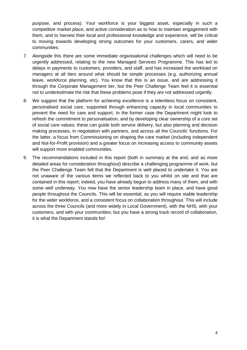purpose, and process). Your workforce is your biggest asset, especially in such a competitive market place, and active consideration as to how to maintain engagement with them, and to harvest their local and professional knowledge and experience, will be critical to moving towards developing strong outcomes for your customers, carers, and wider communities.

- 7. Alongside this there are some immediate organisational challenges which will need to be urgently addressed, relating to the new Managed Services Programme. This has led to delays in payments to customers, providers, and staff, and has increased the workload on managers at all tiers around what should be simple processes (e.g. authorizing annual leave, workforce planning, etc). You know that this is an issue, and are addressing it through the Corporate Management tier, but the Peer Challenge Team feel it is essential not to underestimate the risk that these problems pose if they are not addressed urgently.
- 8. We suggest that the platform for achieving excellence is a relentless focus on consistent, personalised social care, supported through enhancing capacity in local communities to prevent the need for care and support. In the former case the Department might look to refresh the commitment to personalisation, and by developing clear ownership of a core set of social care values; these can guide both service delivery, but also planning and decision making processes, in negotiation with partners, and across all the Councils' functions. For the latter, a focus from Commissioning on shaping the care market (including independent and Not-for-Profit provision) and a greater focus on increasing access to community assets will support more enabled communities.
- 9. The recommendations included in this report (both in summary at the end, and as more detailed areas for consideration throughout) describe a challenging programme of work, but the Peer Challenge Team felt that the Department is well placed to undertake it. You are not unaware of the various items we reflected back to you whilst on site and that are contained in this report; indeed, you have already begun to address many of them, and with some well underway. You now have the senior leadership team in place, and have good people throughout the Councils. This will be essential, as you will require stable leadership for the wider workforce, and a consistent focus on collaboration throughout. This will include across the three Councils (and more widely in Local Government), with the NHS, with your customers, and with your communities; but you have a strong track record of collaboration, it is what the Department stands for!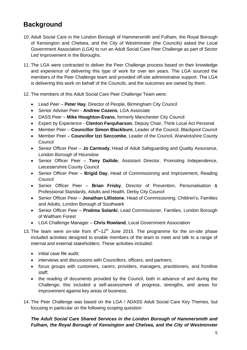# **Background**

- 10. Adult Social Care in the London Borough of Hammersmith and Fulham, the Royal Borough of Kensington and Chelsea, and the City of Westminster (the Councils) asked the Local Government Association (LGA) to run an Adult Social Care Peer Challenge as part of Sector Led Improvement in the Boroughs.
- 11. The LGA were contracted to deliver the Peer Challenge process based on their knowledge and experience of delivering this type of work for over ten years. The LGA sourced the members of the Peer Challenge team and provided off-site administrative support. The LGA is delivering this work on behalf of the Councils, and the outcomes are owned by them.
- 12. The members of this Adult Social Care Peer Challenge Team were:
	- Lead Peer **Peter Hay**, Director of People, Birmingham City Council
	- Senior Adviser Peer **Andrew Cozens**, LGA Associate
	- DASS Peer **Mike Houghton-Evans**, formerly Manchester City Council
	- Expert by Experience **Clenton Farquharson**, Deputy Chair, Think Local Act Personal
	- Member Peer **Councillor Simon Blackburn**, Leader of the Council, Blackpool Council
	- Member Peer **Councillor Izzi Seccombe**, Leader of the Council, Warwickshire County Council
	- Senior Officer Peer **Jo Carmody**, Head of Adult Safeguarding and Quality Assurance, London Borough of Hounslow
	- Senior Officer Peer **Tony Dailide**, Assistant Director, Promoting Independence, Leicestershire County Council
	- Senior Officer Peer **Brigid Day**, Head of Commissioning and Improvement, Reading Council
	- Senior Officer Peer **Brian Frisby**, Director of Prevention, Personalisation & Professional Standards, Adults and Health, Derby City Council
	- Senior Officer Peer **Jonathan Lillistone**, Head of Commissioning, Children's, Families and Adults, London Borough of Southwark
	- Senior Officer Peer **Pratima Solanki**, Lead Commissioner, Families, London Borough of Waltham Forest
	- LGA Challenge Manager **Chris Rowland**, Local Government Association
- 13. The team were on-site from  $8<sup>th</sup>-12<sup>th</sup>$  June 2015. The programme for the on-site phase included activities designed to enable members of the team to meet and talk to a range of internal and external stakeholders. These activities included:
	- initial case file audit:
	- interviews and discussions with Councillors, officers, and partners;
	- focus groups with customers, carers, providers, managers, practitioners, and frontline staff;
	- the reading of documents provided by the Council, both in advance of and during the Challenge; this included a self-assessment of progress, strengths, and areas for improvement against key areas of business.
- 14. The Peer Challenge was based on the LGA / ADASS Adult Social Care Key Themes, but focusing in particular on the following scoping question:

### *The Adult Social Care Shared Services in the London Borough of Hammersmith and Fulham, the Royal Borough of Kensington and Chelsea, and the City of Westminster*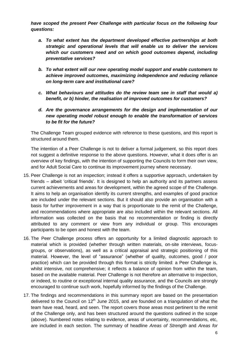*have scoped the present Peer Challenge with particular focus on the following four questions:*

- *a. To what extent has the department developed effective partnerships at both strategic and operational levels that will enable us to deliver the services which our customers need and on which good outcomes depend, including preventative services?*
- *b. To what extent will our new operating model support and enable customers to achieve improved outcomes, maximizing independence and reducing reliance on long-term care and institutional care?*
- *c. What behaviours and attitudes do the review team see in staff that would a) benefit, or b) hinder, the realisation of improved outcomes for customers?*
- *d. Are the governance arrangements for the design and implementation of our new operating model robust enough to enable the transformation of services to be fit for the future?*

The Challenge Team grouped evidence with reference to these questions, and this report is structured around them.

The intention of a Peer Challenge is not to deliver a formal judgement, so this report does not suggest a definitive response to the above questions. However, what it does offer is an overview of key findings, with the intention of supporting the Councils to form their own view, and for Adult Social Care to continue its improvement journey where necessary.

- 15. Peer Challenge is not an inspection; instead it offers a supportive approach, undertaken by friends – albeit 'critical friends'. It is designed to help an authority and its partners assess current achievements and areas for development, within the agreed scope of the Challenge. It aims to help an organisation identify its current strengths, and examples of good practice are included under the relevant sections. But it should also provide an organisation with a basis for further improvement in a way that is proportionate to the remit of the Challenge, and recommendations where appropriate are also included within the relevant sections. All information was collected on the basis that no recommendation or finding is directly attributed to any comment or view from any individual or group. This encourages participants to be open and honest with the team.
- 16. The Peer Challenge process offers an opportunity for a limited diagnostic approach to material which is provided (whether through written materials, on-site interviews, focusgroups, or observations), as well as a critical appraisal and strategic positioning of this material. However, the level of "assurance" (whether of quality, outcomes, good / poor practice) which can be provided through this format is strictly limited: a Peer Challenge is, whilst intensive, not comprehensive; it reflects a balance of opinion from within the team, based on the available material. Peer Challenge is not therefore an alternative to inspection, or indeed, to routine or exceptional internal quality assurance, and the Councils are strongly encouraged to continue such work, hopefully informed by the findings of the Challenge.
- 17. The findings and recommendations in this summary report are based on the presentation delivered to the Council on  $12<sup>th</sup>$  June 2015, and are founded on a triangulation of what the team have read, heard, and seen. The report covers those areas most pertinent to the remit of the Challenge only, and has been structured around the questions outlined in the scope (above). Numbered notes relating to evidence, areas of uncertainty, recommendations, etc, are included in each section. The summary of headline *Areas of Strength* and *Areas for*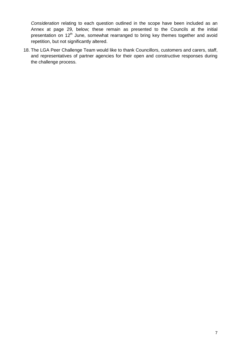*Consideration* relating to each question outlined in the scope have been included as an Annex at page 29, below; these remain as presented to the Councils at the initial presentation on 12<sup>th</sup> June, somewhat rearranged to bring key themes together and avoid repetition, but not significantly altered.

18. The LGA Peer Challenge Team would like to thank Councillors, customers and carers, staff, and representatives of partner agencies for their open and constructive responses during the challenge process.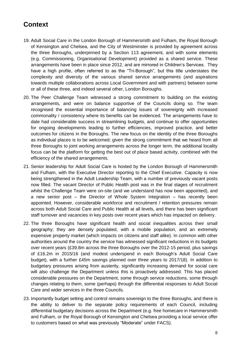# **Context**

- 19. Adult Social Care in the London Borough of Hammersmith and Fulham, the Royal Borough of Kensington and Chelsea, and the City of Westminster is provided by agreement across the three Boroughs, underpinned by a Section 113 agreement, and with some elements (e.g. Commissioning, Organisational Development) provided as a shared service. These arrangements have been in place since 2012, and are mirrored in Children's Services. They have a high profile, often referred to as the "Tri-Borough", but this title understates the complexity and diversity of the various shared service arrangements (and aspirations towards multiple collaborations across Local Government and with partners) between some or all of these three, and indeed several other, London Boroughs.
- 20. The Peer Challenge Team witnessed a strong commitment to building on the existing arrangements, and were on balance supportive of the Councils doing so. The team recognised the essential importance of balancing issues of sovereignty with increased commonality / consistency where its benefits can be evidenced. The arrangements have to date had considerable success in streamlining budgets, and continue to offer opportunities for ongoing developments leading to further efficiencies, improved practice, and better outcomes for citizens in the Boroughs. The new focus on the identity of the three Boroughs as individual places is to be welcomed; given the strong commitment that we heard from all three Boroughs to joint working arrangements across the longer term, the additional locality focus can be the platform for getting the best out of place based activity, combined with the efficiency of the shared arrangements.
- 21. Senior leadership for Adult Social Care is hosted by the London Borough of Hammersmith and Fulham, with the Executive Director reporting to the Chief Executive. Capacity is now being strengthened in the Adult Leadership Team, with a number of previously vacant posts now filled. The vacant Director of Public Health post was in the final stages of recruitment whilst the Challenge Team were on-site (and we understand has now been appointed), and a new senior post – the Director of Whole System Integration – has recently been appointed. However, considerable workforce and recruitment / retention pressures remain across both Adult Social Care and Public Health at all levels, and there has been significant staff turnover and vacancies in key posts over recent years which has impacted on delivery.
- 22. The three Boroughs have significant health and social inequalities across their small geography; they are densely populated, with a mobile population, and an extremely expensive property market (which impacts on citizens and staff alike). In common with other authorities around the country the service has witnessed significant reductions in its budgets over recent years (£39.8m across the three Boroughs over the 2012-15 period, plus savings of £16.2m in 2015/16 (and modest underspend in each Borough's Adult Social Care budget), with a further £45m savings planned over three years to 2017/18). In addition to budgetary pressures arising from austerity, significantly increasing demand for social care will also challenge the Department unless this is proactively addressed. This has placed considerable pressures on the Department, some through service reductions, some through changes relating to them, some (perhaps) through the differential responses to Adult Social Care and wider services in the three Councils.
- 23. Importantly budget setting and control remains sovereign to the three Boroughs, and there is the ability to deliver to the separate policy requirements of each Council, including differential budgetary decisions across the Department (e.g. free homecare in Hammersmith and Fulham, or the Royal Borough of Kensington and Chelsea providing a local service offer to customers based on what was previously "Moderate" under FACS).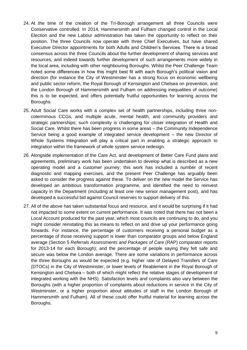- 24. At the time of the creation of the Tri-Borough arrangement all three Councils were Conservative controlled. In 2014, Hammersmith and Fulham changed control in the Local Election and the new Labour administration has taken the opportunity to reflect on their position. The three Councils now operate with three Chief Executives, but have shared Executive Director appointments for both Adults and Children's Services. There is a broad consensus across the three Councils about the further development of sharing services and resources, and indeed towards further development of such arrangements more widely in the local area, including with other neighbouring Boroughs. Whilst the Peer Challenge Team noted some differences in how this might best fit with each Borough's political vision and direction (for instance the City of Westminster has a strong focus on economic wellbeing and public sector reform, the Royal Borough of Kensington and Chelsea on prevention, and the London Borough of Hammersmith and Fulham on addressing inequalities of outcome) this is to be expected, and offers potentially fruitful opportunities for learning across the Boroughs.
- 25. Adult Social Care works with a complex set of health partnerships, including three noncoterminous CCGs, and multiple acute, mental health, and community providers and strategic partnerships; such complexity is challenging for closer integration of Health and Social Care. Whilst there has been progress in some areas – the Community Independence Service being a good example of integrated service development – the new Director of Whole Systems Integration will play a critical part in enabling a strategic approach to integration within the framework of whole system service redesign.
- 26. Alongside implementation of the Care Act, and development of Better Care Fund plans and agreements, preliminary work has been undertaken to develop what is described as a new operating model and a customer journey; this work has included a number of recent diagnostic and mapping exercises, and the present Peer Challenge has arguably been asked to consider the progress against these. To deliver on the new model the Service has developed an ambitious transformation programme, and identified the need to reinvest capacity in the Department (including at least one new senior management post), and has developed a successful bid against Council reserves to support delivery of this.
- 27. All of the above has taken substantial focus and resource, and it would be surprising if it had not impacted to some extent on current performance. It was noted that there has not been a Local Account produced for the past year, which most councils are continuing to do, and you might consider reinstating this as means to reflect on and drive up your performance going forwards. For instance, the percentage of customers receiving a personal budget as a percentage of those receiving support is lower than comparator groups and below England average (Section 5 *Referrals Assessments and Packages of Care* (RAP) comparator reports for 2013-14 for each Borough); and the percentage of people saying they felt safe and secure was below the London average. There are some variations in performance across the three Boroughs as would be expected (e.g. higher rate of Delayed Transfers of Care (DTOCs) in the City of Westminster, or lower levels of Reablement in the Royal Borough of Kensington and Chelsea – both of which might reflect the relative stages of development of integrated working with the NHS). Satisfaction levels and complaints also vary between the Boroughs (with a higher proportion of complaints about reductions in service in the City of Westminster, or a higher proportion about attitudes of staff in the London Borough of Hammersmith and Fulham). All of these could offer fruitful material for learning across the Boroughs.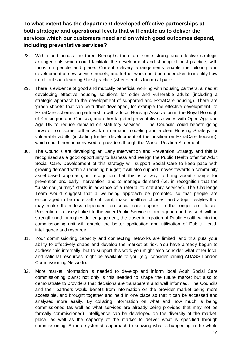## **To what extent has the department developed effective partnerships at both strategic and operational levels that will enable us to deliver the services which our customers need and on which good outcomes depend, including preventative services?**

- 28. Within and across the three Boroughs there are some strong and effective strategic arrangements which could facilitate the development and sharing of best practice, with focus on people and place. Current delivery arrangements enable the piloting and development of new service models, and further work could be undertaken to identify how to roll out such learning / best practice (wherever it is found) at pace.
- 29. There is evidence of good and mutually beneficial working with housing partners, aimed at developing effective housing solutions for older and vulnerable adults (including a strategic approach to the development of supported and ExtraCare housing). There are 'green shoots' that can be further developed, for example the effective development of ExtraCare schemes in partnership with a local Housing Association in the Royal Borough of Kensington and Chelsea, and other targeted preventative services with Open Age and Age UK to reduce demand on statutory services. The Councils could benefit going forward from some further work on demand modeling and a clear Housing Strategy for vulnerable adults (including further development of the position on ExtraCare housing), which could then be conveyed to providers though the Market Position Statement.
- 30. The Councils are developing an Early Intervention and Prevention Strategy and this is recognised as a good opportunity to harness and realign the Public Health offer for Adult Social Care. Development of this strategy will support Social Care to keep pace with growing demand within a reducing budget; it will also support moves towards a community asset-based approach, in recognition that this is a way to bring about change for prevention and early intervention, and to manage demand (i.e. in recognition that the "customer journey" starts in advance of a referral to statutory services). The Challenge Team would suggest that a wellbeing approach be promoted so that people are encouraged to be more self-sufficient, make healthier choices, and adopt lifestyles that may make them less dependent on social care support in the longer-term future. Prevention is closely linked to the wider Public Service reform agenda and as such will be strengthened through wider engagement; the closer integration of Public Health within the commissioning unit will enable the better application and utilisation of Public Health intelligence and resource.
- 31. Your commissioning capacity and connecting networks are limited, and this puts your ability to effectively shape and develop the market at risk. You have already begun to address this internally, but to support this work you might also consider what other local and national resources might be available to you (e.g. consider joining ADASS London Commissioning Network).
- 32. More market information is needed to develop and inform local Adult Social Care commissioning plans; not only is this needed to shape the future market but also to demonstrate to providers that decisions are transparent and well informed. The Councils and their partners would benefit from information on the provider market being more accessible, and brought together and held in one place so that it can be accessed and analysed more easily. By collating information on what and how much is being commissioned (as well as what services are already being provided that may not be formally commissioned), intelligence can be developed on the diversity of the marketplace, as well as the capacity of the market to deliver what is specified through commissioning. A more systematic approach to knowing what is happening in the whole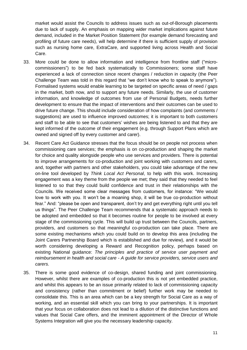market would assist the Councils to address issues such as out-of-Borough placements due to lack of supply. An emphasis on mapping wider market implications against future demand, included in the Market Position Statement (for example demand forecasting and profiling of future care needs), will help determine if there is sufficient supply of provision such as nursing home care, ExtraCare, and supported living across Health and Social Care.

- 33. More could be done to allow information and intelligence from frontline staff ("microcommissioners") to be fed back systematically to Commissioners; some staff have experienced a lack of connection since recent changes / reduction in capacity (the Peer Challenge Team was told in this regard that "we don't know who to speak to anymore"). Formalised systems would enable learning to be targeted on specific areas of need / gaps in the market, both now, and to support any future needs. Similarly, the use of customer information, and knowledge of outcomes from use of Personal Budgets, needs further development to ensure that the impact of interventions and their outcomes can be used to drive future change. This should include consideration of how complaints (and comments / suggestions) are used to influence improved outcomes; it is important to both customers and staff to be able to see that customers' wishes are being listened to and that they are kept informed of the outcome of their engagement (e.g. through Support Plans which are owned and signed off by every customer and carer).
- 34. Recent Care Act Guidance stresses that the focus should be on people not process when commissioning care services; the emphasis is on co-production and shaping the market for choice and quality alongside people who use services and providers. There is potential to improve arrangements for co-production and joint working with customers and carers, and, together with partners and other stakeholders, you could take advantage of the new on-line tool developed by *Think Local Act Personal*, to help with this work. Increasing engagement was a key theme from the people we met; they said that they needed to feel listened to so that they could build confidence and trust in their relationships with the Councils. We received some clear messages from customers, for instance: "We would love to work with you. It won't be a moaning shop, it will be true co-production without fear." And: "please be open and transparent, don't try and get everything right until you tell us things". The Peer Challenge Team recommends that a systematic approach needs to be adopted and embedded so that it becomes routine for people to be involved at every stage of the commissioning cycle. This will build up trust between the Councils, partners, providers, and customers so that meaningful co-production can take place. There are some existing mechanisms which you could build on to develop this area (including the Joint Carers Partnership Board which is established and due for review), and it would be worth considering developing a Reward and Recognition policy, perhaps based on existing National guidance: *The principles and practice of service user payment and reimbursement in health and social care - A guide for service providers, service users and carers*.
- 35. There is some good evidence of co-design, shared funding and joint commissioning. However, whilst there are examples of co-production this is not yet embedded practice, and whilst this appears to be an issue primarily related to lack of commissioning capacity and consistency (rather than commitment or belief) further work may be needed to consolidate this. This is an area which can be a key strength for Social Care as a way of working, and an essential skill which you can bring to your partnerships. It is important that your focus on collaboration does not lead to a dilution of the distinctive functions and values that Social Care offers, and the imminent appointment of the Director of Whole Systems Integration will give you the necessary leadership capacity.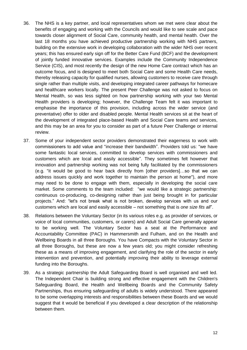- 36. The NHS is a key partner, and local representatives whom we met were clear about the benefits of engaging and working with the Councils and would like to see scale and pace towards closer alignment of Social Care, community health, and mental health. Over the last 18 months you have achieved productive partnership working with NHS partners, building on the extensive work in developing collaboration with the wider NHS over recent years; this has ensured early sign off for the Better Care Fund (BCF) and the development of jointly funded innovative services. Examples include the Community Independence Service (CIS), and most recently the design of the new Home Care contract which has an outcome focus, and is designed to meet both Social Care and some Health Care needs, thereby releasing capacity for qualified nurses, allowing customers to receive care through single rather than multiple visits, and developing integrated career pathways for homecare and healthcare workers locally. The present Peer Challenge was not asked to focus on Mental Health, so was less sighted on how partnership working with your two Mental Health providers is developing; however, the Challenge Team felt it was important to emphasise the importance of this provision, including across the wider service (and preventative) offer to older and disabled people. Mental Health services sit at the heart of the development of integrated place-based Health and Social Care teams and services, and this may be an area for you to consider as part of a future Peer Challenge or internal review.
- 37. Some of your independent sector providers demonstrated their eagerness to work with commissioners to add value and "increase their bandwidth". Providers told us: "we have some fantastic local services, committed to develop services with commissioners and customers which are local and easily accessible". They sometimes felt however that innovation and partnership working was not being fully facilitated by the commissioners (e.g. "it would be good to hear back directly from [other providers]…so that we can address issues quickly and work together to maintain the person at home"), and more may need to be done to engage with them, especially in developing the social care market. Some comments to the team included: "we would like a strategic partnership: continuous co-producing, co-designing rather than just being brought in for particular projects." And: "let's not break what is not broken, develop services with us and our customers which are local and easily accessible – not something that is *one size fits all*".
- 38. Relations between the Voluntary Sector (in its various roles e.g. as provider of services, or voice of local communities, customers, or carers) and Adult Social Care generally appear to be working well. The Voluntary Sector has a seat at the Performance and Accountability Committee (PAC) in Hammersmith and Fulham, and on the Health and Wellbeing Boards in all three Boroughs. You have Compacts with the Voluntary Sector in all three Boroughs, but these are now a few years old; you might consider refreshing these as a means of improving engagement, and clarifying the role of the sector in early intervention and prevention, and potentially improving their ability to leverage external funding into the Boroughs.
- 39. As a strategic partnership the Adult Safeguarding Board is well organised and well led. The Independent Chair is building strong and effective engagement with the Children's Safeguarding Board, the Health and Wellbeing Boards and the Community Safety Partnerships, thus ensuring safeguarding of adults is widely understood. There appeared to be some overlapping interests and responsibilities between these Boards and we would suggest that it would be beneficial if you developed a clear description of the relationship between them.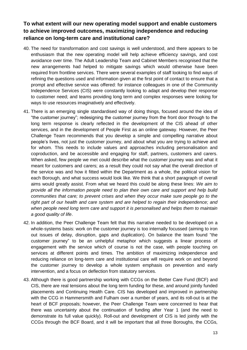## **To what extent will our new operating model support and enable customers to achieve improved outcomes, maximizing independence and reducing reliance on long-term care and institutional care?**

- 40. The need for transformation and cost savings is well understood, and there appears to be enthusiasm that the new operating model will help achieve efficiency savings, and cost avoidance over time. The Adult Leadership Team and Cabinet Members recognised that the new arrangements had helped to mitigate savings which would otherwise have been required from frontline services. There were several examples of staff looking to find ways of refining the questions used and information given at the first point of contact to ensure that a prompt and effective service was offered: for instance colleagues in one of the Community Independence Services (CIS) were constantly looking to adapt and develop their response to customer need; and teams providing long term and complex responses were looking for ways to use resources imaginatively and effectively.
- 41. There is an emerging single standardised way of doing things, focused around the idea of "the customer journey"; redesigning the customer journey from the front door through to the long term response is clearly reflected in the development of the CIS ahead of other services, and in the development of People First as an online gateway. However, the Peer Challenge Team recommends that you develop a simple and compelling narrative about people's lives, not just the customer journey, and about what you are trying to achieve and for whom. This needs to include values and approaches including personalisation and coproduction, and be accessible and engaging for staff, partners, customers and carers. When asked, few people we met could describe what the customer journey was and what it meant for customers and carers; as a result they could not say what the overall direction of the service was and how it fitted within the Department as a whole, the political vision for each Borough, and what success would look like. We think that a short paragraph of overall aims would greatly assist. From what we heard this could be along these lines: *We aim to provide all the information people need to plan their own care and support and help build communities that care; to prevent crises and when they occur make sure people go to the right part of our health and care system and are helped to regain their independence; and when people need long term care and support it is personalised and helps them to maintain a good quality of life*.
- 42. In addition, the Peer Challenge Team felt that this narrative needed to be developed on a whole-systems basis: work on the customer journey is too internally focussed (aiming to iron out issues of delay, disruption, gaps and duplication). On balance the team found "the customer journey" to be an unhelpful metaphor which suggests a linear process of engagement with the service which of course is not the case, with people touching on services at different points and times. The ambition of maximizing independence and reducing reliance on long-term care and institutional care will require work on and beyond the customer journey to develop a whole system emphasis on prevention and early intervention, and a focus on deflection from statutory services.
- 43. Although there is good partnership working with CCGs on the Better Care Fund (BCF) and CIS, there are real tensions about the long term funding for these, and around jointly funded placements and Continuing Health Care. CIS has developed and improved in partnership with the CCG in Hammersmith and Fulham over a number of years, and its roll-out is at the heart of BCF proposals; however, the Peer Challenge Team were concerned to hear that there was uncertainty about the continuation of funding after Year 1 (and the need to demonstrate its full value quickly). Roll-out and development of CIS is led jointly with the CCGs through the BCF Board, and it will be important that all three Boroughs, the CCGs,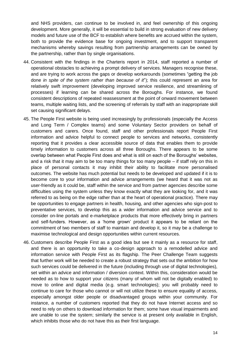and NHS providers, can continue to be involved in, and feel ownership of this ongoing development. More generally, it will be essential to build in strong evaluation of new delivery models and future use of the BCF to establish where benefits are accrued within the system, both to provide the evidence base for ongoing investment, and to support transparent mechanisms whereby savings resulting from partnership arrangements can be owned by the partnership, rather than by single organisations.

- 44. Consistent with the findings in the Charteris report in 2014, staff reported a number of operational obstacles to achieving a prompt delivery of services. Managers recognise these, and are trying to work across the gaps or develop workarounds (sometimes "getting the job done *in spite of the system rather than because of it*"); this could represent an area for relatively swift improvement (developing improved service resilience, and streamlining of processes) if learning can be shared across the Boroughs. For instance, we found consistent descriptions of repeated reassessment at the point of onward movement between teams, multiple waiting lists, and the screening of referrals by staff with an inappropriate skill set causing significant delays.
- 45. The People First website is being used increasingly by professionals (especially the Access and Long Term / Complex teams) and some Voluntary Sector providers on behalf of customers and carers. Once found, staff and other professionals report People First information and advice helpful to connect people to services and networks, consistently reporting that it provides a clear accessible source of data that enables them to provide timely information to customers across all three Boroughs. There appears to be some overlap between what People First does and what is still on each of the Boroughs' websites, and a risk that it may aim to be too many things for too many people – if staff rely on this in place of personal contacts it may inhibit their ability to facilitate more personalised outcomes. The website has much potential but needs to be developed and updated if it is to become core to your information and advice arrangements (we heard that it was not as user-friendly as it could be, staff within the service and from partner agencies describe some difficulties using the system unless they know exactly what they are looking for, and it was referred to as being on the edge rather than at the heart of operational practice). There may be opportunities to engage partners in health, housing, and other agencies who sign-post to preventative services, to develop this as a wider information and advice service and to consider on-line portals and e-marketplace products that more effectively bring in partners and self-funders. However, as a 'home grown' product it appears to be reliant on the commitment of two members of staff to maintain and develop it, so it may be a challenge to maximise technological and design opportunities within current resources.
- 46. Customers describe People First as a good idea but see it mainly as a resource for staff, and there is an opportunity to take a co-design approach to a remodelled advice and information service with People First as its flagship. The Peer Challenge Team suggests that further work will be needed to create a robust strategy that sets out the ambition for how such services could be delivered in the future (including through use of digital technologies), set within an advice and information / diversion context. Within this, consideration would be needed as to how to support your citizens (many of whom will not be digitally enabled) to move to online and digital media (e.g. smart technologies); you will probably need to continue to care for those who cannot or will not utilize these to ensure equality of access, especially amongst older people or disadvantaged groups within your community. For instance, a number of customers reported that they do not have Internet access and so need to rely on others to download information for them; some have visual impairments and are unable to use the system; similarly the service is at present only available in English, which inhibits those who do not have this as their first language.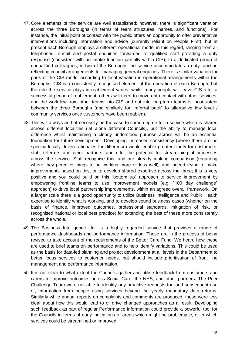- 47. Core elements of the service are well established; however, there is significant variation across the three Boroughs (in terms of team structures, names, and functions). For instance, the initial point of contact with the public offers an opportunity to offer preventative interventions including information and advice (currently reliant on People First); but at present each Borough employs a different operational model in this regard, ranging from all telephoned, e-mail and postal enquiries forwarded to qualified staff providing a duty response (consistent with an intake function partially within CIS), to a dedicated group of unqualified colleagues; in two of the Boroughs the service accommodates a duty function reflecting council arrangements for managing general enquiries. There is similar variation for parts of the CIS model according to local variation in operational arrangements within the Boroughs. CIS is a consistently recognised element of the operation of each Borough, but the role the service plays in reablement varies; whilst many people will leave CIS after a successful period of reablement, others will need to move onto contact with other services, and the workflow from other teams into CIS and out into long-term teams is inconsistent between the three Boroughs (and similarly for "referral back" to alternative low level / community services once customers have been reabled).
- 48. This will always and of necessity be the case to some degree for a service which is shared across different localities (let alone different Councils), but the ability to manage local difference whilst maintaining a clearly understood purpose across will be an essential foundation for future development. Developing increased consistency (where there are no specific locally driven rationales for difference) would enable greater clarity for customers, staff, referrers and other partners, and offer the potential for streamlining of processes across the service. Staff recognise this, and are already making comparison (regarding where they perceive things to be working more or less well), and indeed trying to make improvements based on this, or to develop shared expertise across the three; this is very positive and you could build on this "bottom up" approach to service improvement by empowering frontline teams to use improvement models (e.g. "100 day challenge" approach) to drive local partnership improvements, within an agreed overall framework. On a larger scale there is a good opportunity to utilize Business Intelligence and Public Health expertise to identify what is working, and to develop sound business cases (whether on the basis of finance, improved outcomes, professional standards, mitigation of risk, or recognised national or local best practice) for extending the best of these more consistently across the whole.
- 49. The Business Intelligence Unit is a highly regarded service that provides a range of performance dashboards and performance information. These are in the process of being revised to take account of the requirements of the Better Care Fund. We heard how these are used to brief teams on performance and to help identify variations. This could be used as the basis for data-led planning and project development at all levels in the Department to better focus services to customer needs, but should include prioritisation of front line management and performance information.
- 50. It is not clear to what extent the Councils gather and utilise feedback from customers and carers to improve outcomes across Social Care, the NHS, and other partners. The Peer Challenge Team were not able to identify any proactive requests for, and subsequent use of, information from people using services beyond the yearly mandatory data returns. Similarly while annual reports on complaints and comments are produced, these were less clear about how this would lead to or drive changed approaches as a result. Developing such feedback as part of regular Performance Information could provide a powerful tool for the Councils in terms of early indications of areas which might be problematic, or in which services could be streamlined or improved.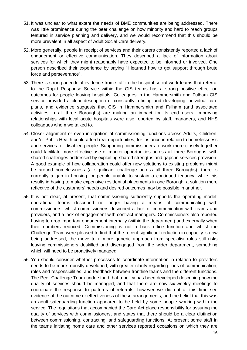- 51. It was unclear to what extent the needs of BME communities are being addressed. There was little prominence during the peer challenge on how minority and hard to reach groups featured in service planning and delivery, and we would recommend that this should be more prevalent in all aspect of Adult Social Care delivery.
- 52. More generally, people in receipt of services and their carers consistently reported a lack of engagement or effective communication. They described a lack of information about services for which they might reasonably have expected to be informed or involved. One person described their experience by saying "I learned how to get support through brute force and perseverance".
- 53. There is strong anecdotal evidence from staff in the hospital social work teams that referral to the Rapid Response Service within the CIS teams has a strong positive effect on outcomes for people leaving hospitals. Colleagues in the Hammersmith and Fulham CIS service provided a clear description of constantly refining and developing individual care plans, and evidence suggests that CIS in Hammersmith and Fulham (and associated activities in all three Boroughs) are making an impact for its end users. Improving relationships with local acute hospitals were also reported by staff, managers, and NHS colleagues whom we talked to.
- 54. Closer alignment or even integration of commissioning functions across Adults, Children, and/or Public Health could afford real opportunities, for instance in relation to homelessness and services for disabled people. Supporting commissioners to work more closely together could facilitate more effective use of market opportunities across all three Boroughs, with shared challenges addressed by exploiting shared strengths and gaps in services provision. A good example of how collaboration could offer new solutions to existing problems might be around homelessness (a significant challenge across all three Boroughs): there is currently a gap in housing for people unable to sustain a continued tenancy; while this results in having to make expensive residential placements in one Borough, a solution more reflective of the customers' needs and desired outcomes may be possible in another.
- 55. It is not clear, at present, that commissioning sufficiently supports the operating model: operational teams described no longer having a means of communicating with commissioners, whilst commissioners described a lack of communication with teams and providers, and a lack of engagement with contract managers. Commissioners also reported having to drop important engagement internally (within the department) and externally when their numbers reduced. Commissioning is not a back office function and whilst the Challenge Team were pleased to find that the recent significant reduction in capacity is now being addressed, the move to a more generic approach from specialist roles still risks leaving commissioners deskilled and disengaged from the wider department, something which will need to be proactively managed.
- 56. You should consider whether processes to coordinate information in relation to providers needs to be more robustly developed, with greater clarity regarding lines of communication, roles and responsibilities, and feedback between frontline teams and the different functions. The Peer Challenge Team understand that a policy has been developed describing how the quality of services should be managed, and that there are now six-weekly meetings to coordinate the response to patterns of referrals; however we did not at this time see evidence of the outcome or effectiveness of these arrangements, and the belief that this was an adult safeguarding function appeared to be held by some people working within the service. The regulations that accompanied the Care Act place responsibility for assuring the quality of services with commissioners, and states that there should be a clear distinction between commissioning, contracting, and safeguarding functions. At present some staff in the teams initiating home care and other services reported occasions on which they are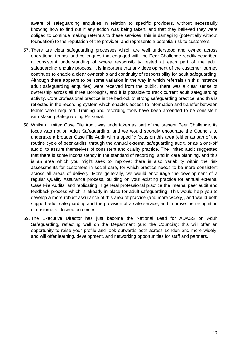aware of safeguarding enquiries in relation to specific providers, without necessarily knowing how to find out if any action was being taken, and that they believed they were obliged to continue making referrals to these services; this is damaging (potentially without foundation) to the reputation of the provider, and represents a potential risk to customers.

- 57. There are clear safeguarding processes which are well understood and owned across operational teams, and colleagues that engaged with the Peer Challenge readily described a consistent understanding of where responsibility rested at each part of the adult safeguarding enquiry process. It is important that any development of the customer journey continues to enable a clear ownership and continuity of responsibility for adult safeguarding. Although there appears to be some variation in the way in which referrals (in this instance adult safeguarding enquiries) were received from the public, there was a clear sense of ownership across all three Boroughs, and it is possible to track current adult safeguarding activity. Core professional practice is the bedrock of strong safeguarding practice, and this is reflected in the recording system which enables access to information and transfer between teams when required. Training and recording tools have been amended to be consistent with Making Safeguarding Personal.
- 58. Whilst a limited Case File Audit was undertaken as part of the present Peer Challenge, its focus was not on Adult Safeguarding, and we would strongly encourage the Councils to undertake a broader Case File Audit with a specific focus on this area (either as part of the routine cycle of peer audits, through the annual external safeguarding audit, or as a one-off audit), to assure themselves of consistent and quality practice. The limited audit suggested that there is some inconsistency in the standard of recording, and in care planning, and this is an area which you might seek to improve; there is also variability within the risk assessments for customers in social care, for which practice needs to be more consistent across all areas of delivery. More generally, we would encourage the development of a regular Quality Assurance process, building on your existing practice for annual external Case File Audits, and replicating in general professional practice the internal peer audit and feedback process which is already in place for adult safeguarding. This would help you to develop a more robust assurance of this area of practice (and more widely), and would both support adult safeguarding and the provision of a safe service, and improve the recognition of customers' desired outcomes.
- 59. The Executive Director has just become the National Lead for ADASS on Adult Safeguarding, reflecting well on the Department (and the Councils); this will offer an opportunity to raise your profile and look outwards both across London and more widely, and will offer learning, development, and networking opportunities for staff and partners.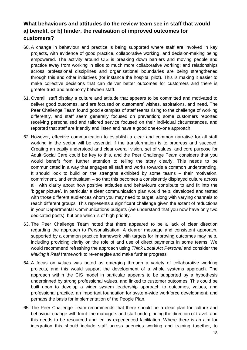## **What behaviours and attitudes do the review team see in staff that would a) benefit, or b) hinder, the realisation of improved outcomes for customers?**

- 60. A change in behaviour and practice is being supported where staff are involved in key projects, with evidence of good practice, collaborative working, and decision-making being empowered. The activity around CIS is breaking down barriers and moving people and practice away from working in silos to much more collaborative working; and relationships across professional disciplines and organisational boundaries are being strengthened through this and other initiatives (for instance the hospital pilot). This is making it easier to make collective decisions that can deliver better outcomes for customers and there is greater trust and autonomy between staff.
- 61. Overall, staff display a culture and attitude that appears to be committed and motivated to deliver good outcomes, and are focused on customers' wishes, aspirations, and need. The Peer Challenge Team found good examples of staff teams rising to the challenge of working differently, and staff seem generally focused on prevention; some customers reported receiving personalised and tailored service focused on their individual circumstances, and reported that staff are friendly and listen and have a good one-to-one approach.
- 62. However, effective communication to establish a clear and common narrative for all staff working in the sector will be essential if the transformation is to progress and succeed. Creating an easily understood and clear overall vision, set of values, and core purpose for Adult Social Care could be key to this, and the Peer Challenge Team considers that you would benefit from further attention to telling the story clearly. This needs to be communicated in a way that engages all staff and works towards a common understanding. It should look to build on the strengths exhibited by some teams – their motivation, commitment, and enthusiasm – so that this becomes a consistently displayed culture across all, with clarity about how positive attitudes and behaviours contribute to and fit into the 'bigger picture'. In particular a clear communication plan would help, developed and tested with those different audiences whom you may need to target, along with varying channels to reach different groups. This represents a significant challenge given the extent of reductions in your Departmental Communications budgets (we understand that you now have only two dedicated posts), but one which is of high priority.
- 63. The Peer Challenge Team noted that there appeared to be a lack of clear direction regarding the approach to Personalisation. A clearer message and consistent approach, supported by a common practice framework with targets for improving outcomes may help, including providing clarity on the role of and use of direct payments in some teams. We would recommend refreshing the approach using *Think Local Act Personal* and consider the *Making it Real* framework to re-energise and make further progress.
- 64. A focus on values was noted as emerging through a variety of collaborative working projects, and this would support the development of a whole systems approach. The approach within the CIS model in particular appears to be supported by a hypothesis underpinned by strong professional values, and linked to customer outcomes. This could be built upon to develop a wider system leadership approach to outcomes, values, and professional practice, an important foundation for system-wide workforce development, and perhaps the basis for implementation of the People Plan.
- 65. The Peer Challenge Team recommends that there should be a clear plan for culture and behaviour change with front-line managers and staff underpinning the direction of travel, and this needs to be resourced and led by experienced facilitation. Where there is an aim for integration this should include staff across agencies working and training together, to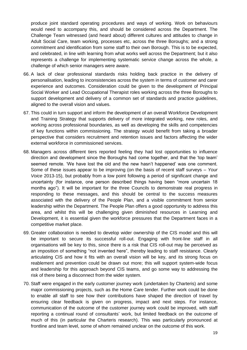produce joint standard operating procedures and ways of working. Work on behaviours would need to accompany this, and should be considered across the Department. The Challenge Team witnessed (and heard about) different cultures and attitudes to change in Adult Social Care, team working, processes etc, across the three Boroughs; and a strong commitment and identification from some staff to their own Borough. This is to be expected, and celebrated, in line with learning from what works well across the Department; but it also represents a challenge for implementing systematic service change across the whole, a challenge of which senior managers were aware.

- 66. A lack of clear professional standards risks holding back practice in the delivery of personalisation, leading to inconsistencies across the system in terms of customer and carer experience and outcomes. Consideration could be given to the development of Principal Social Worker and Lead Occupational Therapist roles working across the three Boroughs to support development and delivery of a common set of standards and practice guidelines, aligned to the overall vision and values.
- 67. This could in turn support and inform the development of an overall Workforce Development and Training Strategy that supports delivery of more integrated working, new roles, and working across professional boundaries, as well as developing the skills and competencies of key functions within commissioning. The strategy would benefit from taking a broader perspective that considers recruitment and retention issues and factors affecting the wider external workforce in commissioned services.
- 68. Managers across different tiers reported feeling they had lost opportunities to influence direction and development since the Boroughs had come together, and that the 'top team' seemed remote. 'We have lost the old and the new hasn't happened' was one comment. Some of these issues appear to be improving (on the basis of recent staff surveys – *Your Voice* 2013-15), but probably from a low point following a period of significant change and uncertainty (for instance, one person described things having been "more uncertain 18 months ago"). It will be important for the three Councils to demonstrate real progress in responding to these messages, and this should be central to the success measures associated with the delivery of the People Plan, and a visible commitment from senior leadership within the Department. The People Plan offers a good opportunity to address this area, and whilst this will be challenging given diminished resources in Learning and Development, it is essential given the workforce pressures that the Department faces in a competitive market place.
- 69. Greater collaboration is needed to develop wider ownership of the CIS model and this will be important to secure its successful roll-out. Engaging with front-line staff in all organisations will be key to this, since there is a risk that CIS roll-out may be perceived as an imposition of something "not invented here", thereby leading to staff resistance. Clearly articulating CIS and how it fits with an overall vision will be key, and its strong focus on reablement and prevention could be drawn out more; this will support system-wide focus and leadership for this approach beyond CIS teams, and go some way to addressing the risk of there being a disconnect from the wider system.
- 70. Staff were engaged in the early customer journey work (undertaken by Charteris) and some major commissioning projects, such as the Home Care tender. Further work could be done to enable all staff to see how their contributions have shaped the direction of travel by ensuring clear feedback is given on progress, impact and next steps. For instance, communication of the outcome of the customer journey work could be improved, with staff reporting a continual round of consultants' work, but limited feedback on the outcome of much of this (in particular the Charteris research). This was particularly pronounced at frontline and team level, some of whom remained unclear on the outcome of this work.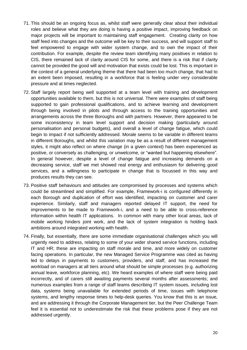- 71. This should be an ongoing focus as, whilst staff were generally clear about their individual roles and believe what they are doing is having a positive impact, improving feedback on major projects will be important to maintaining staff engagement. Creating clarity on how staff feed into changes and the outcome will be key to their success, and will support staff to feel empowered to engage with wider system change, and to own the impact of their contribution. For example, despite the review team identifying many positives in relation to CIS, there remained lack of clarity around CIS for some, and there is a risk that if clarity cannot be provided the good will and motivation that exists could be lost. This is important in the context of a general underlying theme that there had been too much change, that had to an extent been imposed, resulting in a workforce that is feeling under very considerable pressure and at times neglected.
- 72. Staff largely report being well supported at a team level with training and development opportunities available to them, but this is not universal. There were examples of staff being supported to gain professional qualifications, and to achieve learning and development through being involved in pilots and through access to the training opportunities and arrangements across the three Boroughs and with partners. However, there appeared to be some inconsistency in team level support and decision making (particularly around personalisation and personal budgets), and overall a level of change fatigue, which could begin to impact if not sufficiently addressed. Morale seems to be variable in different teams in different Boroughs, and whilst this variation may be as a result of different management styles, it might also reflect on where change (in a given context) has been experienced as positive, or conversely as challenging, or unwelcome, or "wanted but happening elsewhere". In general however, despite a level of change fatigue and increasing demands on a decreasing service, staff we met showed real energy and enthusiasm for delivering good services, and a willingness to participate in change that is focussed in this way and produces results they can see.
- 73. Positive staff behaviours and attitudes are compromised by processes and systems which could be streamlined and simplified. For example, Framework-i is configured differently in each Borough and duplication of effort was identified, impacting on customer and carer experience. Similarly, staff and managers reported delayed IT support, the need for improvements to be made to Framework-i, and a need to be able to cross-reference information within health IT applications. In common with many other local areas, lack of mobile working hinders joint work, and the lack of system integration is holding back ambitions around integrated working with health.
- 74. Finally, but essentially, there are some immediate organisational challenges which you will urgently need to address, relating to some of your wider shared service functions, including IT and HR; these are impacting on staff morale and time, and more widely on customer facing operations. In particular, the new Managed Service Programme was cited as having led to delays in payments to customers, providers, and staff, and has increased the workload on managers at all tiers around what should be simple processes (e.g. authorizing annual leave, workforce planning, etc). We heard examples of where staff were being paid incorrectly, and of carers still awaiting payments several months after assessments; and numerous examples from a range of staff teams describing IT system issues, including lost data, systems being unavailable for extended periods of time, issues with telephone systems, and lengthy response times to help-desk queries. You know that this is an issue, and are addressing it through the Corporate Management tier, but the Peer Challenge Team feel it is essential not to underestimate the risk that these problems pose if they are not addressed urgently.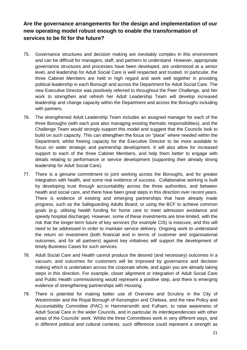## **Are the governance arrangements for the design and implementation of our new operating model robust enough to enable the transformation of services to be fit for the future?**

- 75. Governance structures and decision making are inevitably complex in this environment and can be difficult for managers, staff, and partners to understand. However, appropriate governance structures and processes have been developed, are understood at a senior level, and leadership for Adult Social Care is well respected and trusted. In particular, the three Cabinet Members are held in high regard and work well together in providing political leadership in each Borough and across the Department for Adult Social Care. The new Executive Director was positively referred to throughout the Peer Challenge, and her work to strengthen and refresh her Adult Leadership Team will develop increased leadership and change capacity within the Department and across the Boroughs including with partners.
- 76. The strengthened Adult Leadership Team includes an assigned manager for each of the three Boroughs (with each post also managing existing thematic responsibilities), and the Challenge Team would strongly support this model and suggest that the Councils look to build on such capacity. This can strengthen the focus on "place" where needed within the Department, whilst freeing capacity for the Executive Director to be more available to focus on wider strategic and partnership development. It will also allow for increased support to each of the three Cabinet Members, and help them better to engage with details relating to performance or service development (supporting their already strong leadership for Adult Social Care).
- 77. There is a genuine commitment to joint working across the Boroughs, and for greater integration with health, and some real evidence of success. Collaborative working is built by developing trust through accountability across the three authorities, and between health and social care, and there have been great steps in this direction over recent years. There is evidence of existing and emerging partnerships that have already made progress, such as the Safeguarding Adults Board, or using the BCF to achieve common goals (e.g. utilising health funding for home care to meet admission avoidance and speedy hospital discharge). However, some of these investments are time limited, with the risk that the longer-term future of key services (for example CIS) is insecure, and this will need to be addressed in order to maintain service delivery. Ongoing work to understand the return on investment (both financial and in terms of customer and organisational outcomes, and for all partners) against key initiatives will support the development of timely Business Cases for such services.
- 78. Adult Social Care and Health cannot produce the desired (and necessary) outcomes in a vacuum, and outcomes for customers will be improved by governance and decision making which is undertaken across the corporate whole, and again you are already taking steps in this direction. For example, closer alignment or integration of Adult Social Care and Public Health commissioning would represent a positive step, and there is emerging evidence of strengthening partnerships with Housing.
- 79. There is potential for making better use of Overview and Scrutiny in the City of Westminster and the Royal Borough of Kensington and Chelsea, and the new Policy and Accountability Committee (PAC) in Hammersmith and Fulham, to raise awareness of Adult Social Care in the wider Councils, and in particular its interdependencies with other areas of the Councils' work. Whilst the three Committees work in very different ways, and in different political and cultural contexts, such difference could represent a strength as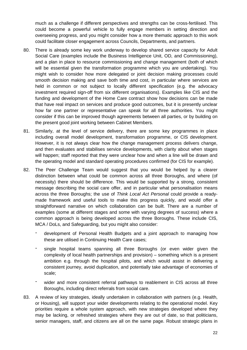much as a challenge if different perspectives and strengths can be cross-fertilised. This could become a powerful vehicle to fully engage members in setting direction and overseeing progress, and you might consider how a more thematic approach to this work could facilitate closer engagement across Councils, Departments, and partners.

- 80. There is already some key work underway to develop shared service capacity for Adult Social Care (examples include the Business Intelligence Unit, OD, and Commissioning), and a plan in place to resource commissioning and change management (both of which will be essential given the transformation programme which you are undertaking). You might wish to consider how more delegated or joint decision making processes could smooth decision making and save both time and cost, in particular where services are held in common or not subject to locally different specification (e.g. the advocacy investment required sign-off from six different organisations). Examples like CIS and the funding and development of the Home Care contract show how decisions can be made that have real impact on services and produce good outcomes, but it is presently unclear how far one partner or representative can speak for all three authorities. You might consider if this can be improved though agreements between all parties, or by building on the present good joint working between Cabinet Members.
- 81. Similarly, at the level of service delivery, there are some key programmes in place including overall model development, transformation programme, or CIS development. However, it is not always clear how the change management process delivers change, and then evaluates and stabilises service developments, with clarity about when stages will happen; staff reported that they were unclear how and when a line will be drawn and the operating model and standard operating procedures confirmed (for CIS for example).
- 82. The Peer Challenge Team would suggest that you would be helped by a clearer distinction between what could be common across all three Boroughs, and where (of necessity) there should be difference. This would be supported by a strong, consistent message describing the social care offer, and in particular what personalisation means across the three Boroughs; the use of *Think Local Act Personal* could provide a readymade framework and useful tools to make this progress quickly, and would offer a straightforward narrative on which collaboration can be built. There are a number of examples (some at different stages and some with varying degrees of success) where a common approach is being developed across the three Boroughs. These include CIS, MCA / DoLs, and Safeguarding, but you might also consider:
	- development of Personal Health Budgets and a joint approach to managing how these are utilised in Continuing Health Care cases;
	- single hospital teams spanning all three Boroughs (or even wider given the complexity of local health partnerships and provision) – something which is a present ambition e.g. through the hospital pilots, and which would assist in delivering a consistent journey, avoid duplication, and potentially take advantage of economies of scale;
	- wider and more consistent referral pathways to reablement in CIS across all three Boroughs, including direct referrals from social care.
- 83. A review of key strategies, ideally undertaken in collaboration with partners (e.g. Health, or Housing), will support your wider developments relating to the operational model. Key priorities require a whole system approach, with new strategies developed where they may be lacking, or refreshed strategies where they are out of date, so that politicians, senior managers, staff, and citizens are all on the same page. Robust strategic plans in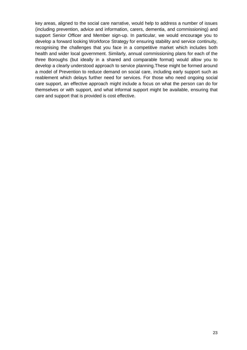key areas, aligned to the social care narrative, would help to address a number of issues (including prevention, advice and information, carers, dementia, and commissioning) and support Senior Officer and Member sign-up. In particular, we would encourage you to develop a forward looking Workforce Strategy for ensuring stability and service continuity, recognising the challenges that you face in a competitive market which includes both health and wider local government. Similarly, annual commissioning plans for each of the three Boroughs (but ideally in a shared and comparable format) would allow you to develop a clearly understood approach to service planning.These might be formed around a model of Prevention to reduce demand on social care, including early support such as reablement which delays further need for services. For those who need ongoing social care support, an effective approach might include a focus on what the person can do for themselves or with support, and what informal support might be available, ensuring that care and support that is provided is cost effective.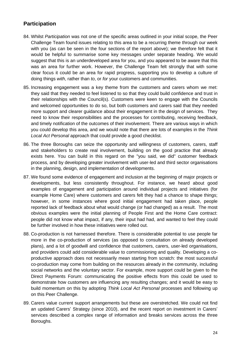## **Participation**

- 84. Whilst *Participation* was not one of the specific areas outlined in your initial scope, the Peer Challenge Team found issues relating to this area to be a recurring theme through our week with you (as can be seen in the four sections of the report above); we therefore felt that it would be helpful to summarise some key messages under separate heading. We would suggest that this is an underdeveloped area for you, and you appeared to be aware that this was an area for further work. However, the Challenge Team felt strongly that with some clear focus it could be an area for rapid progress, supporting you to develop a culture of doing things *with*, rather than *to*, or *for* your customers and communities.
- 85. Increasing engagement was a key theme from the customers and carers whom we met: they said that they needed to feel listened to so that they could build confidence and trust in their relationships with the Council(s). Customers were keen to engage with the Councils and welcomed opportunities to do so, but both customers and carers said that they needed more support and clearer guidance about their engagement in the design of services. They need to know their responsibilities and the processes for contributing, receiving feedback, and timely notification of the outcomes of their involvement. There are various ways in which you could develop this area, and we would note that there are lots of examples in the *Think Local Act Personal* approach that could provide a good checklist.
- 86. The three Boroughs can seize the opportunity and willingness of customers, carers, staff and stakeholders to create real involvement, building on the good practice that already exists here. You can build in this regard on the "you said, we did" customer feedback process, and by developing greater involvement with user-led and third sector organisations in the planning, design, and implementation of developments.
- 87. We found some evidence of engagement and inclusion at the beginning of major projects or developments, but less consistently throughout. For instance, we heard about good examples of engagement and participation around individual projects and initiatives (for example Home Care) where customers and carers felt they had a chance to shape things; however, in some instances where good initial engagement had taken place, people reported lack of feedback about what would change (or had changed) as a result. The most obvious examples were the initial planning of People First and the Home Care contract: people did not know what impact, if any, their input had had, and wanted to feel they could be further involved in how these initiatives were rolled out.
- 88. Co-production is not harnessed therefore. There is considerable potential to use people far more in the co-production of services (as opposed to consultation on already developed plans), and a lot of goodwill and confidence that customers, carers, user-led organisations, and providers could add considerable value to commissioning and quality. Developing a coproductive approach does not necessarily mean starting from scratch: the most successful co-production may come from building on the resources already in the community, including social networks and the voluntary sector. For example, more support could be given to the Direct Payments Forum: communicating the positive effects from this could be used to demonstrate how customers are influencing any resulting changes; and it would be easy to build momentum on this by adopting *Think Local Act Personal* processes and following up on this Peer Challenge.
- 89. Carers value current support arrangements but these are overstretched. We could not find an updated Carers' Strategy (since 2010), and the recent report on investment in Carers' services described a complex range of information and breaks services across the three Boroughs.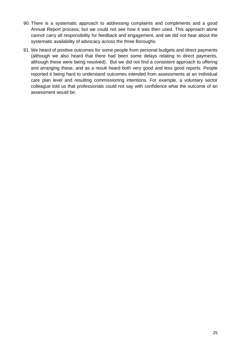- 90. There is a systematic approach to addressing complaints and compliments and a good Annual Report process, but we could not see how it was then used. This approach alone cannot carry all responsibility for feedback and engagement, and we did not hear about the systematic availability of advocacy across the three Boroughs.
- 91. We heard of positive outcomes for some people from personal budgets and direct payments (although we also heard that there had been some delays relating to direct payments, although these were being resolved). But we did not find a consistent approach to offering and arranging these, and as a result heard both very good and less good reports. People reported it being hard to understand outcomes intended from assessments at an individual care plan level and resulting commissioning intentions. For example, a voluntary sector colleague told us that professionals could not say with confidence what the outcome of an assessment would be.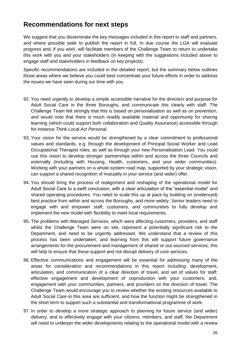## **Recommendations for next steps**

We suggest that you disseminate the key messages included in this report to staff and partners, and where possible seek to publish the report in full. In due course the LGA will evaluate progress and, if you wish, will facilitate members of the Challenge Team to return to undertake this work with you and your stakeholders (in keeping with the suggestions included above to engage staff and stakeholders in feedback on key projects).

Specific recommendations are included in the detailed report, but the summary below outlines those areas where we believe you could best concentrate your future efforts in order to address the issues we have seen during our time with you.

- 92. You need urgently to develop a simple accessible narrative for the direction and purpose for Adult Social Care in the three Boroughs, and communicate this clearly with staff. The Challenge Team felt strongly that this is based on personalisation as well as on prevention, and would note that there is much readily available material and opportunity for sharing learning (which could support both collaboration and Quality Assurance) accessible through for instance *Think Local Act Personal*.
- 93. Your vision for the service would be strengthened by a clear commitment to professional values and standards, e.g. through the development of Principal Social Worker and Lead Occupational Therapist roles, as well as through your new Personalisation Lead. You could use this vision to develop stronger partnerships within and across the three Councils and externally (including with Housing, Health, customers, and your wider communities). Working with your partners on a whole-system road map, supported by your strategic vision, can support a shared recognition of mutuality in your service (and wider) offer.
- 94. You should bring the process of realignment and reshaping of the operational model for Adult Social Care to a swift conclusion, with a clear articulation of the "essential model" and shared operating procedures. You need to scale this up at pace by building on (evidenced) best practice from within and across the Boroughs, and more widely. Senior leaders need to engage with and empower staff, customers, and communities to fully develop and implement the new model with flexibility to meet local requirements.
- 95. The problems with Managed Services, which were affecting customers, providers, and staff whilst the Challenge Team were on site, represent a potentially significant risk to the Department, and need to be urgently addressed. We understand that a review of this process has been undertaken, and learning from this will support future governance arrangements for the procurement and management of shared or out-sourced services; this will help to ensure that these support and not disrupt delivery of core services.
- 96. Effective communications and engagement will be essential for addressing many of the areas for consideration and recommendations in this report including: development, articulation, and communication of a clear direction of travel, and set of values for staff; effective engagement and development of coproduction with your customers; and, engagement with your communities, partners, and providers on the direction of travel. The Challenge Team would encourage you to review whether the existing resources available to Adult Social Care in this area are sufficient, and how the function might be strengthened in the short term to support such a substantial and transformational programme of work.
- 97. In order to develop a more strategic approach to planning for future service (and wider) delivery, and to effectively engage with your citizens, members, and staff, the Department will need to underpin the wider developments relating to the operational model with a review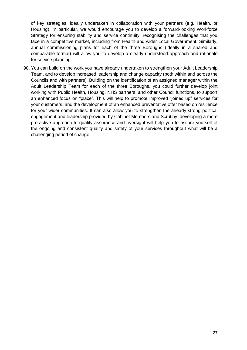of key strategies, ideally undertaken in collaboration with your partners (e.g. Health, or Housing). In particular, we would encourage you to develop a forward-looking Workforce Strategy for ensuring stability and service continuity, recognising the challenges that you face in a competitive market, including from Health and wider Local Government. Similarly, annual commissioning plans for each of the three Boroughs (ideally in a shared and comparable format) will allow you to develop a clearly understood approach and rationale for service planning.

98. You can build on the work you have already undertaken to strengthen your Adult Leadership Team, and to develop increased leadership and change capacity (both within and across the Councils and with partners). Building on the identification of an assigned manager within the Adult Leadership Team for each of the three Boroughs, you could further develop joint working with Public Health, Housing, NHS partners, and other Council functions, to support an enhanced focus on "place". This will help to promote improved "joined up" services for your customers, and the development of an enhanced preventative offer based on resilience for your wider communities. It can also allow you to strengthen the already strong political engagement and leadership provided by Cabinet Members and Scrutiny: developing a more pro-active approach to quality assurance and oversight will help you to assure yourself of the ongoing and consistent quality and safety of your services throughout what will be a challenging period of change.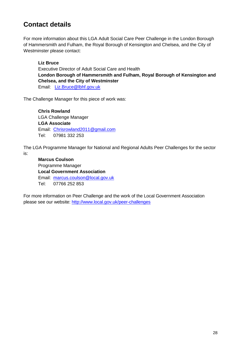# **Contact details**

For more information about this LGA Adult Social Care Peer Challenge in the London Borough of Hammersmith and Fulham, the Royal Borough of Kensington and Chelsea, and the City of Westminster please contact:

### **Liz Bruce**

Executive Director of Adult Social Care and Health **London Borough of Hammersmith and Fulham, Royal Borough of Kensington and Chelsea, and the City of Westminster** Email: [Liz.Bruce@lbhf.gov.uk](mailto:Liz.Bruce@lbhf.gov.uk)

The Challenge Manager for this piece of work was:

**Chris Rowland** LGA Challenge Manager **LGA Associate** Email: [Chrisrowland2011@gmail.com](mailto:Chrisrowland2011@gmail.com) Tel: 07981 332 253

The LGA Programme Manager for National and Regional Adults Peer Challenges for the sector is:

**Marcus Coulson** Programme Manager **Local Government Association** Email: [marcus.coulson@local.gov.uk](mailto:marcus.coulson@local.gov.uk) Tel: 07766 252 853

For more information on Peer Challenge and the work of the Local Government Association please see our website: <http://www.local.gov.uk/peer-challenges>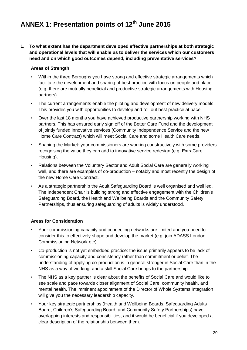# **ANNEX 1: Presentation points of 12th June 2015**

**1. To what extent has the department developed effective partnerships at both strategic and operational levels that will enable us to deliver the services which our customers need and on which good outcomes depend, including preventative services?**

### **Areas of Strength**

- Within the three Boroughs you have strong and effective strategic arrangements which facilitate the development and sharing of best practice with focus on people and place (e.g. there are mutually beneficial and productive strategic arrangements with Housing partners).
- The current arrangements enable the piloting and development of new delivery models. This provides you with opportunities to develop and roll out best practice at pace.
- Over the last 18 months you have achieved productive partnership working with NHS partners. This has ensured early sign off of the Better Care Fund and the development of jointly funded innovative services (Community Independence Service and the new Home Care Contract) which will meet Social Care and some Health Care needs.
- Shaping the Market: your commissioners are working constructively with some providers recognising the value they can add to innovative service redesign (e.g. ExtraCare Housing).
- Relations between the Voluntary Sector and Adult Social Care are generally working well, and there are examples of co-production – notably and most recently the design of the new Home Care Contract.
- As a strategic partnership the Adult Safeguarding Board is well organised and well led. The Independent Chair is building strong and effective engagement with the Children's Safeguarding Board, the Health and Wellbeing Boards and the Community Safety Partnerships, thus ensuring safeguarding of adults is widely understood.

- Your commissioning capacity and connecting networks are limited and you need to consider this to effectively shape and develop the market (e.g. join ADASS London Commissioning Network etc).
- Co-production is not yet embedded practice: the issue primarily appears to be lack of commissioning capacity and consistency rather than commitment or belief. The understanding of applying co-production is in general stronger in Social Care than in the NHS as a way of working, and a skill Social Care brings to the partnership.
- The NHS as a key partner is clear about the benefits of Social Care and would like to see scale and pace towards closer alignment of Social Care, community health, and mental health. The imminent appointment of the Director of Whole Systems Integration will give you the necessary leadership capacity.
- Your key strategic partnerships (Health and Wellbeing Boards, Safeguarding Adults Board, Children's Safeguarding Board, and Community Safety Partnerships) have overlapping interests and responsibilities, and it would be beneficial if you developed a clear description of the relationship between them.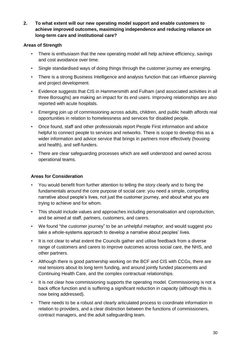**2. To what extent will our new operating model support and enable customers to achieve improved outcomes, maximizing independence and reducing reliance on long-term care and institutional care?**

#### **Areas of Strength**

- There is enthusiasm that the new operating model will help achieve efficiency, savings and cost avoidance over time.
- Single standardised ways of doing things through the customer journey are emerging.
- There is a strong Business Intelligence and analysis function that can influence planning and project development.
- Evidence suggests that CIS in Hammersmith and Fulham (and associated activities in all three Boroughs) are making an impact for its end users. Improving relationships are also reported with acute hospitals.
- Emerging join up of commissioning across adults, children, and public health affords real opportunities in relation to homelessness and services for disabled people.
- Once found, staff and other professionals report People First information and advice helpful to connect people to services and networks. There is scope to develop this as a wider information and advice service that brings in partners more effectively (housing and health), and self-funders.
- There are clear safeguarding processes which are well understood and owned across operational teams.

- You would benefit from further attention to telling the story clearly and to fixing the fundamentals around the core purpose of social care: you need a simple, compelling narrative about people's lives, not just the customer journey, and about what you are trying to achieve and for whom.
- This should include values and approaches including personalisation and coproduction, and be aimed at staff, partners, customers, and carers.
- We found "the customer journey" to be an unhelpful metaphor, and would suggest you take a whole-systems approach to develop a narrative about peoples' lives.
- It is not clear to what extent the Councils gather and utilise feedback from a diverse range of customers and carers to improve outcomes across social care, the NHS, and other partners.
- Although there is good partnership working on the BCF and CIS with CCGs, there are real tensions about its long term funding, and around jointly funded placements and Continuing Health Care, and the complex contractual relationships.
- It is not clear how commissioning supports the operating model. Commissioning is not a back office function and is suffering a significant reduction in capacity (although this is now being addressed).
- There needs to be a robust and clearly articulated process to coordinate information in relation to providers, and a clear distinction between the functions of commissioners, contract managers, and the adult safeguarding team.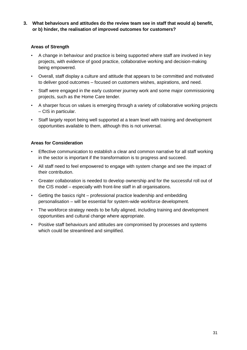### **3. What behaviours and attitudes do the review team see in staff that would a) benefit, or b) hinder, the realisation of improved outcomes for customers?**

### **Areas of Strength**

- A change in behaviour and practice is being supported where staff are involved in key projects, with evidence of good practice, collaborative working and decision-making being empowered.
- Overall, staff display a culture and attitude that appears to be committed and motivated to deliver good outcomes – focused on customers wishes, aspirations, and need.
- Staff were engaged in the early customer journey work and some major commissioning projects, such as the Home Care tender.
- A sharper focus on values is emerging through a variety of collaborative working projects – CIS in particular.
- Staff largely report being well supported at a team level with training and development opportunities available to them, although this is not universal.

- Effective communication to establish a clear and common narrative for all staff working in the sector is important if the transformation is to progress and succeed.
- All staff need to feel empowered to engage with system change and see the impact of their contribution.
- Greater collaboration is needed to develop ownership and for the successful roll out of the CIS model – especially with front-line staff in all organisations.
- Getting the basics right professional practice leadership and embedding personalisation – will be essential for system-wide workforce development.
- The workforce strategy needs to be fully aligned, including training and development opportunities and cultural change where appropriate.
- Positive staff behaviours and attitudes are compromised by processes and systems which could be streamlined and simplified.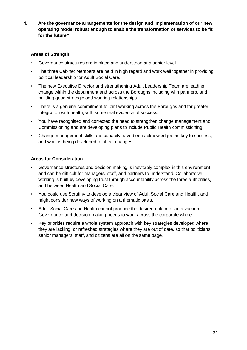**4. Are the governance arrangements for the design and implementation of our new operating model robust enough to enable the transformation of services to be fit for the future?**

### **Areas of Strength**

- Governance structures are in place and understood at a senior level.
- The three Cabinet Members are held in high regard and work well together in providing political leadership for Adult Social Care.
- The new Executive Director and strengthening Adult Leadership Team are leading change within the department and across the Boroughs including with partners, and building good strategic and working relationships.
- There is a genuine commitment to joint working across the Boroughs and for greater integration with health, with some real evidence of success.
- You have recognised and corrected the need to strengthen change management and Commissioning and are developing plans to include Public Health commissioning.
- Change management skills and capacity have been acknowledged as key to success, and work is being developed to affect changes.

- Governance structures and decision making is inevitably complex in this environment and can be difficult for managers, staff, and partners to understand. Collaborative working is built by developing trust through accountability across the three authorities, and between Health and Social Care.
- You could use Scrutiny to develop a clear view of Adult Social Care and Health, and might consider new ways of working on a thematic basis.
- Adult Social Care and Health cannot produce the desired outcomes in a vacuum. Governance and decision making needs to work across the corporate whole.
- Key priorities require a whole system approach with key strategies developed where they are lacking, or refreshed strategies where they are out of date, so that politicians, senior managers, staff, and citizens are all on the same page.